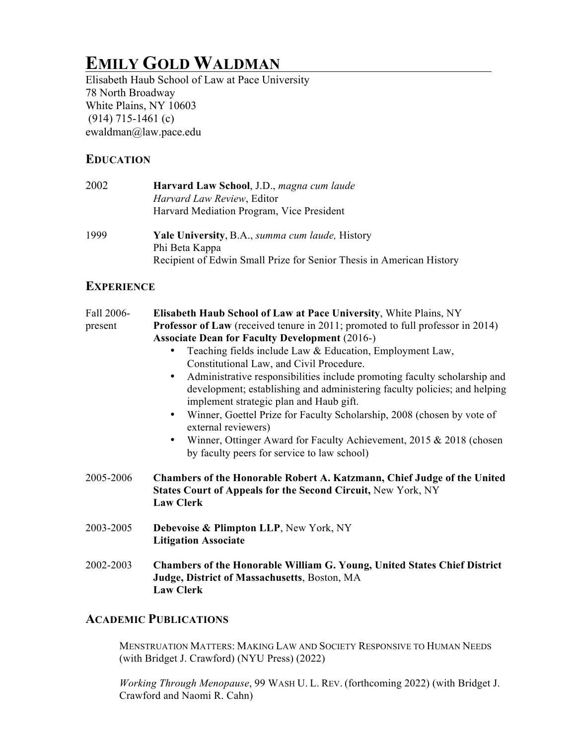# **EMILY GOLD WALDMAN**

Elisabeth Haub School of Law at Pace University 78 North Broadway White Plains, NY 10603 (914) 715-1461 (c) ewaldman@law.pace.edu

### **EDUCATION**

| 2002 | Harvard Law School, J.D., magna cum laude                            |
|------|----------------------------------------------------------------------|
|      | Harvard Law Review, Editor                                           |
|      | Harvard Mediation Program, Vice President                            |
| 1999 | Yale University, B.A., summa cum laude, History                      |
|      | Phi Beta Kappa                                                       |
|      | Recipient of Edwin Small Prize for Senior Thesis in American History |

## **EXPERIENCE**

| Fall 2006-<br>present | Elisabeth Haub School of Law at Pace University, White Plains, NY<br>Professor of Law (received tenure in 2011; promoted to full professor in 2014)<br><b>Associate Dean for Faculty Development (2016-)</b><br>Teaching fields include Law & Education, Employment Law,<br>Constitutional Law, and Civil Procedure.<br>Administrative responsibilities include promoting faculty scholarship and<br>$\bullet$<br>development; establishing and administering faculty policies; and helping<br>implement strategic plan and Haub gift.<br>Winner, Goettel Prize for Faculty Scholarship, 2008 (chosen by vote of<br>$\bullet$<br>external reviewers)<br>Winner, Ottinger Award for Faculty Achievement, 2015 & 2018 (chosen<br>$\bullet$<br>by faculty peers for service to law school) |
|-----------------------|-----------------------------------------------------------------------------------------------------------------------------------------------------------------------------------------------------------------------------------------------------------------------------------------------------------------------------------------------------------------------------------------------------------------------------------------------------------------------------------------------------------------------------------------------------------------------------------------------------------------------------------------------------------------------------------------------------------------------------------------------------------------------------------------|
| 2005-2006             | Chambers of the Honorable Robert A. Katzmann, Chief Judge of the United<br><b>States Court of Appeals for the Second Circuit, New York, NY</b><br><b>Law Clerk</b>                                                                                                                                                                                                                                                                                                                                                                                                                                                                                                                                                                                                                      |
| 2003-2005             | <b>Debevoise &amp; Plimpton LLP, New York, NY</b><br><b>Litigation Associate</b>                                                                                                                                                                                                                                                                                                                                                                                                                                                                                                                                                                                                                                                                                                        |
| 2002-2003             | Chambers of the Honorable William G. Young, United States Chief District<br>Judge, District of Massachusetts, Boston, MA<br><b>Law Clerk</b>                                                                                                                                                                                                                                                                                                                                                                                                                                                                                                                                                                                                                                            |

# **ACADEMIC PUBLICATIONS**

MENSTRUATION MATTERS: MAKING LAW AND SOCIETY RESPONSIVE TO HUMAN NEEDS (with Bridget J. Crawford) (NYU Press) (2022)

*Working Through Menopause*, 99 WASH U. L. REV. (forthcoming 2022) (with Bridget J. Crawford and Naomi R. Cahn)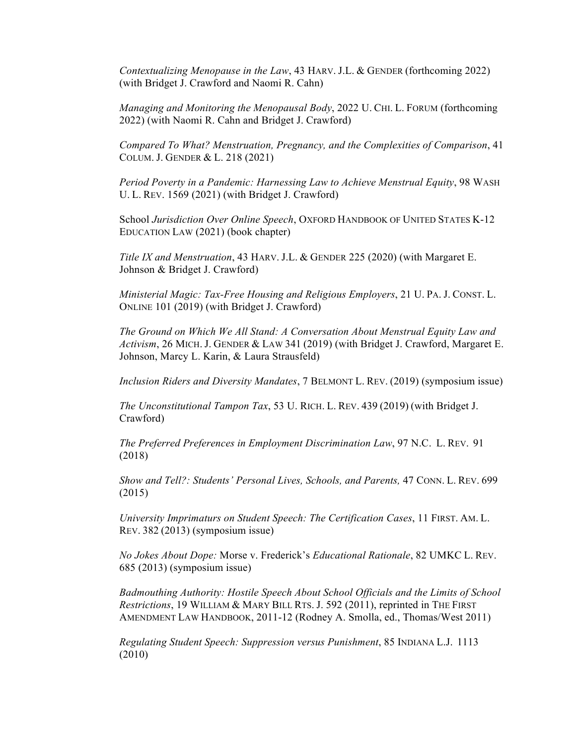*Contextualizing Menopause in the Law*, 43 HARV. J.L. & GENDER (forthcoming 2022) (with Bridget J. Crawford and Naomi R. Cahn)

*Managing and Monitoring the Menopausal Body*, 2022 U. CHI. L. FORUM (forthcoming 2022) (with Naomi R. Cahn and Bridget J. Crawford)

*Compared To What? Menstruation, Pregnancy, and the Complexities of Comparison*, 41 COLUM. J. GENDER & L. 218 (2021)

*Period Poverty in a Pandemic: Harnessing Law to Achieve Menstrual Equity*, 98 WASH U. L. REV. 1569 (2021) (with Bridget J. Crawford)

School *Jurisdiction Over Online Speech*, OXFORD HANDBOOK OF UNITED STATES K-12 EDUCATION LAW (2021) (book chapter)

*Title IX and Menstruation*, 43 HARV. J.L. & GENDER 225 (2020) (with Margaret E. Johnson & Bridget J. Crawford)

*Ministerial Magic: Tax-Free Housing and Religious Employers*, 21 U. PA. J. CONST. L. ONLINE 101 (2019) (with Bridget J. Crawford)

*The Ground on Which We All Stand: A Conversation About Menstrual Equity Law and Activism*, 26 MICH. J. GENDER & LAW 341 (2019) (with Bridget J. Crawford, Margaret E. Johnson, Marcy L. Karin, & Laura Strausfeld)

*Inclusion Riders and Diversity Mandates*, 7 BELMONT L. REV. (2019) (symposium issue)

*The Unconstitutional Tampon Tax*, 53 U. RICH. L. REV. 439 (2019) (with Bridget J. Crawford)

*The Preferred Preferences in Employment Discrimination Law*, 97 N.C. L. REV. 91 (2018)

*Show and Tell?: Students' Personal Lives, Schools, and Parents,* 47 CONN. L. REV. 699 (2015)

*University Imprimaturs on Student Speech: The Certification Cases*, 11 FIRST. AM. L. REV. 382 (2013) (symposium issue)

*No Jokes About Dope:* Morse v. Frederick's *Educational Rationale*, 82 UMKC L. REV. 685 (2013) (symposium issue)

*Badmouthing Authority: Hostile Speech About School Officials and the Limits of School Restrictions*, 19 WILLIAM & MARY BILL RTS. J. 592 (2011), reprinted in THE FIRST AMENDMENT LAW HANDBOOK, 2011-12 (Rodney A. Smolla, ed., Thomas/West 2011)

*Regulating Student Speech: Suppression versus Punishment*, 85 INDIANA L.J. 1113 (2010)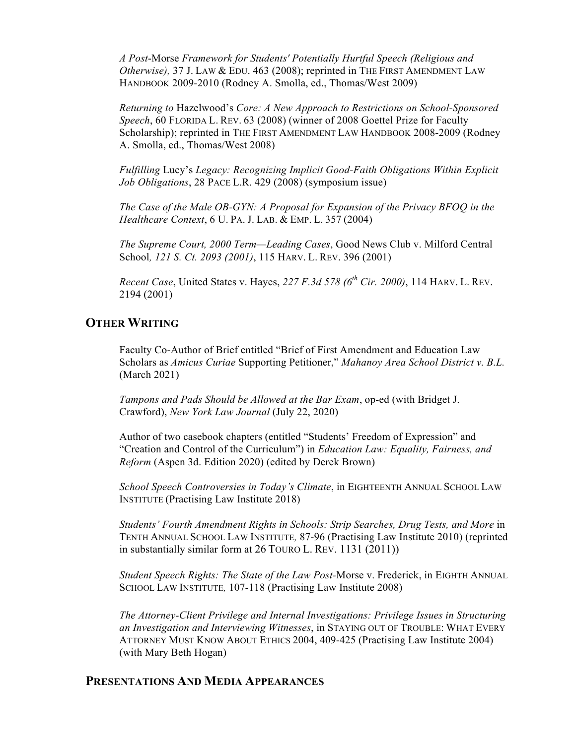*A Post*-Morse *Framework for Students' Potentially Hurtful Speech (Religious and Otherwise),* 37 J. LAW & EDU. 463 (2008); reprinted in THE FIRST AMENDMENT LAW HANDBOOK 2009-2010 (Rodney A. Smolla, ed., Thomas/West 2009)

*Returning to* Hazelwood's *Core: A New Approach to Restrictions on School-Sponsored Speech*, 60 FLORIDA L. REV. 63 (2008) (winner of 2008 Goettel Prize for Faculty Scholarship); reprinted in THE FIRST AMENDMENT LAW HANDBOOK 2008-2009 (Rodney A. Smolla, ed., Thomas/West 2008)

*Fulfilling* Lucy's *Legacy: Recognizing Implicit Good-Faith Obligations Within Explicit Job Obligations*, 28 PACE L.R. 429 (2008) (symposium issue)

*The Case of the Male OB-GYN: A Proposal for Expansion of the Privacy BFOQ in the Healthcare Context*, 6 U. PA. J. LAB. & EMP. L. 357 (2004)

*The Supreme Court, 2000 Term—Leading Cases*, Good News Club v. Milford Central School*, 121 S. Ct. 2093 (2001)*, 115 HARV. L. REV. 396 (2001)

*Recent Case*, United States v. Hayes, *227 F.3d 578 (6th Cir. 2000)*, 114 HARV. L. REV. 2194 (2001)

#### **OTHER WRITING**

Faculty Co-Author of Brief entitled "Brief of First Amendment and Education Law Scholars as *Amicus Curiae* Supporting Petitioner," *Mahanoy Area School District v. B.L.*  (March 2021)

*Tampons and Pads Should be Allowed at the Bar Exam*, op-ed (with Bridget J. Crawford), *New York Law Journal* (July 22, 2020)

Author of two casebook chapters (entitled "Students' Freedom of Expression" and "Creation and Control of the Curriculum") in *Education Law: Equality, Fairness, and Reform* (Aspen 3d. Edition 2020) (edited by Derek Brown)

*School Speech Controversies in Today's Climate*, in EIGHTEENTH ANNUAL SCHOOL LAW INSTITUTE (Practising Law Institute 2018)

*Students' Fourth Amendment Rights in Schools: Strip Searches, Drug Tests, and More* in TENTH ANNUAL SCHOOL LAW INSTITUTE*,* 87-96 (Practising Law Institute 2010) (reprinted in substantially similar form at 26 TOURO L. REV. 1131 (2011))

*Student Speech Rights: The State of the Law Post-Morse v. Frederick, in EIGHTH ANNUAL* SCHOOL LAW INSTITUTE*,* 107-118 (Practising Law Institute 2008)

*The Attorney-Client Privilege and Internal Investigations: Privilege Issues in Structuring an Investigation and Interviewing Witnesses*, in STAYING OUT OF TROUBLE: WHAT EVERY ATTORNEY MUST KNOW ABOUT ETHICS 2004, 409-425 (Practising Law Institute 2004) (with Mary Beth Hogan)

#### **PRESENTATIONS AND MEDIA APPEARANCES**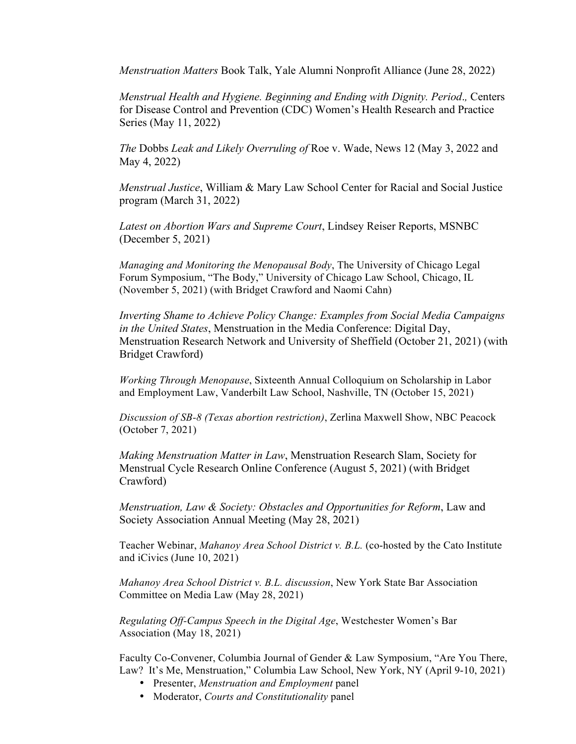*Menstruation Matters* Book Talk, Yale Alumni Nonprofit Alliance (June 28, 2022)

*Menstrual Health and Hygiene. Beginning and Ending with Dignity. Period*.*,* Centers for Disease Control and Prevention (CDC) Women's Health Research and Practice Series (May 11, 2022)

*The* Dobbs *Leak and Likely Overruling of* Roe v. Wade, News 12 (May 3, 2022 and May 4, 2022)

*Menstrual Justice*, William & Mary Law School Center for Racial and Social Justice program (March 31, 2022)

*Latest on Abortion Wars and Supreme Court*, Lindsey Reiser Reports, MSNBC (December 5, 2021)

*Managing and Monitoring the Menopausal Body*, The University of Chicago Legal Forum Symposium, "The Body," University of Chicago Law School, Chicago, IL (November 5, 2021) (with Bridget Crawford and Naomi Cahn)

*Inverting Shame to Achieve Policy Change: Examples from Social Media Campaigns in the United States*, Menstruation in the Media Conference: Digital Day, Menstruation Research Network and University of Sheffield (October 21, 2021) (with Bridget Crawford)

*Working Through Menopause*, Sixteenth Annual Colloquium on Scholarship in Labor and Employment Law, Vanderbilt Law School, Nashville, TN (October 15, 2021)

*Discussion of SB-8 (Texas abortion restriction)*, Zerlina Maxwell Show, NBC Peacock (October 7, 2021)

*Making Menstruation Matter in Law*, Menstruation Research Slam, Society for Menstrual Cycle Research Online Conference (August 5, 2021) (with Bridget Crawford)

*Menstruation, Law & Society: Obstacles and Opportunities for Reform*, Law and Society Association Annual Meeting (May 28, 2021)

Teacher Webinar, *Mahanoy Area School District v. B.L.* (co-hosted by the Cato Institute and iCivics (June 10, 2021)

*Mahanoy Area School District v. B.L. discussion*, New York State Bar Association Committee on Media Law (May 28, 2021)

*Regulating Off-Campus Speech in the Digital Age*, Westchester Women's Bar Association (May 18, 2021)

Faculty Co-Convener, Columbia Journal of Gender & Law Symposium, "Are You There, Law? It's Me, Menstruation," Columbia Law School, New York, NY (April 9-10, 2021)

- Presenter, *Menstruation and Employment* panel
- Moderator, *Courts and Constitutionality* panel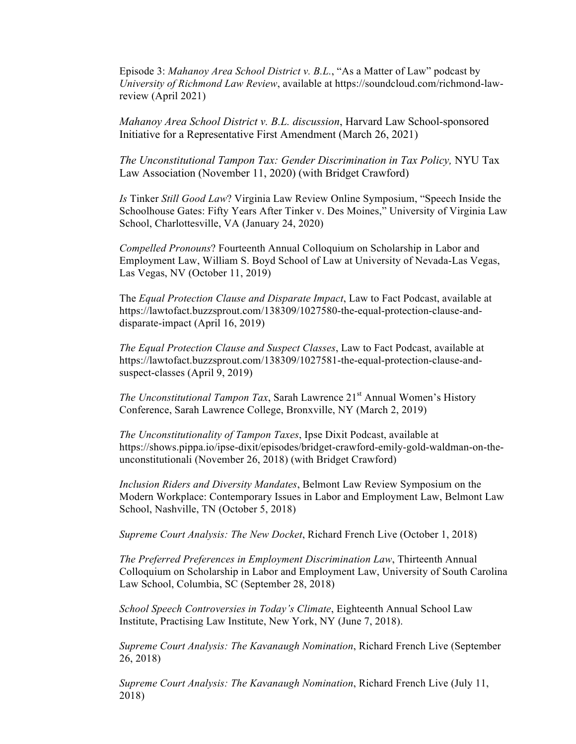Episode 3: *Mahanoy Area School District v. B.L.*, "As a Matter of Law" podcast by *University of Richmond Law Review*, available at https://soundcloud.com/richmond-lawreview (April 2021)

*Mahanoy Area School District v. B.L. discussion*, Harvard Law School-sponsored Initiative for a Representative First Amendment (March 26, 2021)

*The Unconstitutional Tampon Tax: Gender Discrimination in Tax Policy,* NYU Tax Law Association (November 11, 2020) (with Bridget Crawford)

*Is* Tinker *Still Good Law*? Virginia Law Review Online Symposium, "Speech Inside the Schoolhouse Gates: Fifty Years After Tinker v. Des Moines," University of Virginia Law School, Charlottesville, VA (January 24, 2020)

*Compelled Pronouns*? Fourteenth Annual Colloquium on Scholarship in Labor and Employment Law, William S. Boyd School of Law at University of Nevada-Las Vegas, Las Vegas, NV (October 11, 2019)

The *Equal Protection Clause and Disparate Impact*, Law to Fact Podcast, available at https://lawtofact.buzzsprout.com/138309/1027580-the-equal-protection-clause-anddisparate-impact (April 16, 2019)

*The Equal Protection Clause and Suspect Classes*, Law to Fact Podcast, available at https://lawtofact.buzzsprout.com/138309/1027581-the-equal-protection-clause-andsuspect-classes (April 9, 2019)

*The Unconstitutional Tampon Tax*, Sarah Lawrence 21<sup>st</sup> Annual Women's History Conference, Sarah Lawrence College, Bronxville, NY (March 2, 2019)

*The Unconstitutionality of Tampon Taxes*, Ipse Dixit Podcast, available at https://shows.pippa.io/ipse-dixit/episodes/bridget-crawford-emily-gold-waldman-on-theunconstitutionali (November 26, 2018) (with Bridget Crawford)

*Inclusion Riders and Diversity Mandates*, Belmont Law Review Symposium on the Modern Workplace: Contemporary Issues in Labor and Employment Law, Belmont Law School, Nashville, TN (October 5, 2018)

*Supreme Court Analysis: The New Docket*, Richard French Live (October 1, 2018)

*The Preferred Preferences in Employment Discrimination Law*, Thirteenth Annual Colloquium on Scholarship in Labor and Employment Law, University of South Carolina Law School, Columbia, SC (September 28, 2018)

*School Speech Controversies in Today's Climate*, Eighteenth Annual School Law Institute, Practising Law Institute, New York, NY (June 7, 2018).

*Supreme Court Analysis: The Kavanaugh Nomination*, Richard French Live (September 26, 2018)

*Supreme Court Analysis: The Kavanaugh Nomination*, Richard French Live (July 11, 2018)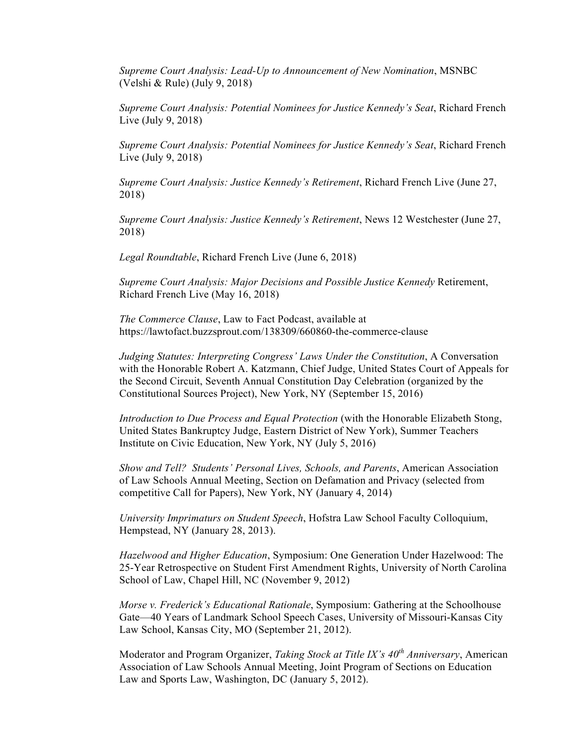*Supreme Court Analysis: Lead-Up to Announcement of New Nomination*, MSNBC (Velshi & Rule) (July 9, 2018)

*Supreme Court Analysis: Potential Nominees for Justice Kennedy's Seat*, Richard French Live (July 9, 2018)

*Supreme Court Analysis: Potential Nominees for Justice Kennedy's Seat*, Richard French Live (July 9, 2018)

*Supreme Court Analysis: Justice Kennedy's Retirement*, Richard French Live (June 27, 2018)

*Supreme Court Analysis: Justice Kennedy's Retirement*, News 12 Westchester (June 27, 2018)

*Legal Roundtable*, Richard French Live (June 6, 2018)

*Supreme Court Analysis: Major Decisions and Possible Justice Kennedy* Retirement, Richard French Live (May 16, 2018)

*The Commerce Clause*, Law to Fact Podcast, available at https://lawtofact.buzzsprout.com/138309/660860-the-commerce-clause

*Judging Statutes: Interpreting Congress' Laws Under the Constitution*, A Conversation with the Honorable Robert A. Katzmann, Chief Judge, United States Court of Appeals for the Second Circuit, Seventh Annual Constitution Day Celebration (organized by the Constitutional Sources Project), New York, NY (September 15, 2016)

*Introduction to Due Process and Equal Protection* (with the Honorable Elizabeth Stong, United States Bankruptcy Judge, Eastern District of New York), Summer Teachers Institute on Civic Education, New York, NY (July 5, 2016)

*Show and Tell? Students' Personal Lives, Schools, and Parents*, American Association of Law Schools Annual Meeting, Section on Defamation and Privacy (selected from competitive Call for Papers), New York, NY (January 4, 2014)

*University Imprimaturs on Student Speech*, Hofstra Law School Faculty Colloquium, Hempstead, NY (January 28, 2013).

*Hazelwood and Higher Education*, Symposium: One Generation Under Hazelwood: The 25-Year Retrospective on Student First Amendment Rights, University of North Carolina School of Law, Chapel Hill, NC (November 9, 2012)

*Morse v. Frederick's Educational Rationale*, Symposium: Gathering at the Schoolhouse Gate—40 Years of Landmark School Speech Cases, University of Missouri-Kansas City Law School, Kansas City, MO (September 21, 2012).

Moderator and Program Organizer, *Taking Stock at Title IX's 40th Anniversary*, American Association of Law Schools Annual Meeting, Joint Program of Sections on Education Law and Sports Law, Washington, DC (January 5, 2012).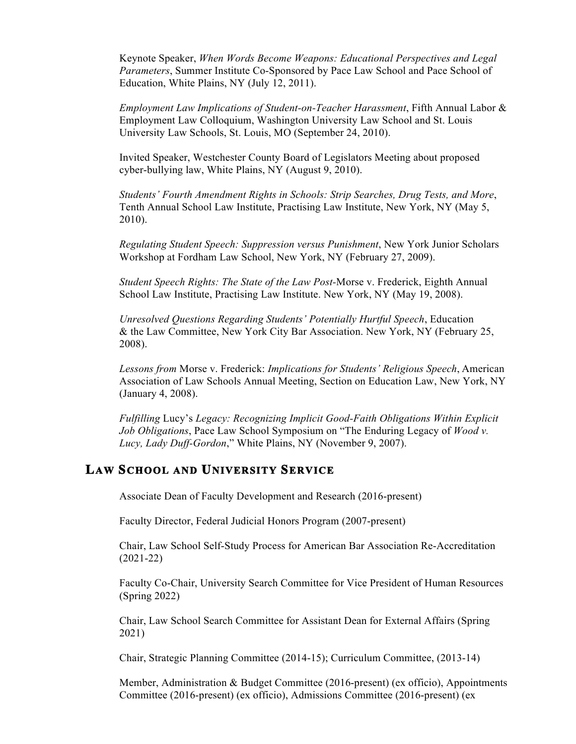Keynote Speaker, *When Words Become Weapons: Educational Perspectives and Legal Parameters*, Summer Institute Co-Sponsored by Pace Law School and Pace School of Education, White Plains, NY (July 12, 2011).

*Employment Law Implications of Student-on-Teacher Harassment*, Fifth Annual Labor & Employment Law Colloquium, Washington University Law School and St. Louis University Law Schools, St. Louis, MO (September 24, 2010).

Invited Speaker, Westchester County Board of Legislators Meeting about proposed cyber-bullying law, White Plains, NY (August 9, 2010).

*Students' Fourth Amendment Rights in Schools: Strip Searches, Drug Tests, and More*, Tenth Annual School Law Institute, Practising Law Institute, New York, NY (May 5, 2010).

*Regulating Student Speech: Suppression versus Punishment*, New York Junior Scholars Workshop at Fordham Law School, New York, NY (February 27, 2009).

*Student Speech Rights: The State of the Law Post-*Morse v. Frederick, Eighth Annual School Law Institute, Practising Law Institute. New York, NY (May 19, 2008).

*Unresolved Questions Regarding Students' Potentially Hurtful Speech*, Education & the Law Committee, New York City Bar Association. New York, NY (February 25, 2008).

*Lessons from* Morse v. Frederick: *Implications for Students' Religious Speech*, American Association of Law Schools Annual Meeting, Section on Education Law, New York, NY (January 4, 2008).

*Fulfilling* Lucy's *Legacy: Recognizing Implicit Good-Faith Obligations Within Explicit Job Obligations*, Pace Law School Symposium on "The Enduring Legacy of *Wood v. Lucy, Lady Duff-Gordon*," White Plains, NY (November 9, 2007).

#### **LAW SCHOOL AND UNIVERSITY SERVICE**

Associate Dean of Faculty Development and Research (2016-present)

Faculty Director, Federal Judicial Honors Program (2007-present)

Chair, Law School Self-Study Process for American Bar Association Re-Accreditation (2021-22)

Faculty Co-Chair, University Search Committee for Vice President of Human Resources (Spring 2022)

Chair, Law School Search Committee for Assistant Dean for External Affairs (Spring 2021)

Chair, Strategic Planning Committee (2014-15); Curriculum Committee, (2013-14)

Member, Administration & Budget Committee (2016-present) (ex officio), Appointments Committee (2016-present) (ex officio), Admissions Committee (2016-present) (ex